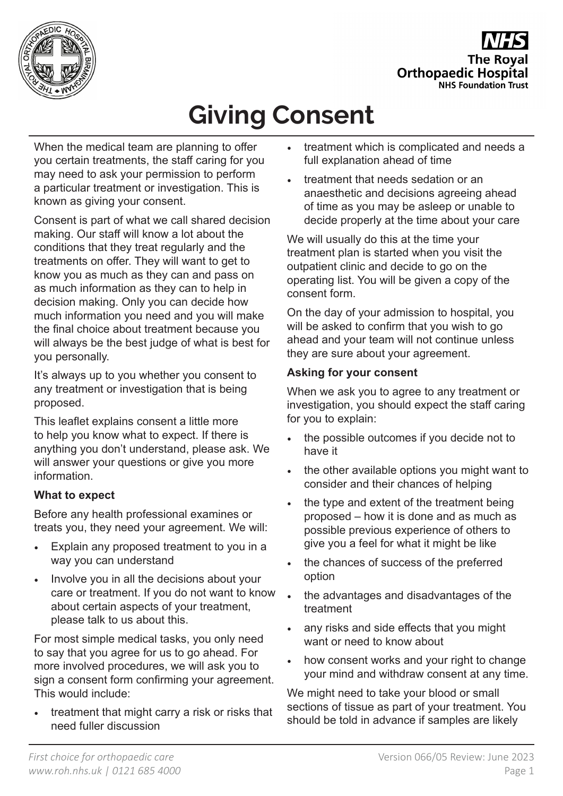

**The Royal Orthopaedic Hospital NHS Foundation Trust** 

# **Giving Consent**

When the medical team are planning to offer you certain treatments, the staff caring for you may need to ask your permission to perform a particular treatment or investigation. This is known as giving your consent.

Consent is part of what we call shared decision making. Our staff will know a lot about the conditions that they treat regularly and the treatments on offer. They will want to get to know you as much as they can and pass on as much information as they can to help in decision making. Only you can decide how much information you need and you will make the final choice about treatment because you will always be the best judge of what is best for you personally.

It's always up to you whether you consent to any treatment or investigation that is being proposed.

This leaflet explains consent a little more to help you know what to expect. If there is anything you don't understand, please ask. We will answer your questions or give you more information.

# **What to expect**

Before any health professional examines or treats you, they need your agreement. We will:

- Explain any proposed treatment to you in a way you can understand
- Involve you in all the decisions about your care or treatment. If you do not want to know about certain aspects of your treatment, please talk to us about this.

For most simple medical tasks, you only need to say that you agree for us to go ahead. For more involved procedures, we will ask you to sign a consent form confirming your agreement. This would include:

treatment that might carry a risk or risks that need fuller discussion

- treatment which is complicated and needs a full explanation ahead of time
- treatment that needs sedation or an anaesthetic and decisions agreeing ahead of time as you may be asleep or unable to decide properly at the time about your care

We will usually do this at the time your treatment plan is started when you visit the outpatient clinic and decide to go on the operating list. You will be given a copy of the consent form.

On the day of your admission to hospital, you will be asked to confirm that you wish to go ahead and your team will not continue unless they are sure about your agreement.

# **Asking for your consent**

When we ask you to agree to any treatment or investigation, you should expect the staff caring for you to explain:

- the possible outcomes if you decide not to have it
- the other available options you might want to consider and their chances of helping
- the type and extent of the treatment being proposed – how it is done and as much as possible previous experience of others to give you a feel for what it might be like
- the chances of success of the preferred option
- the advantages and disadvantages of the treatment
- any risks and side effects that you might want or need to know about
- how consent works and your right to change your mind and withdraw consent at any time.

We might need to take your blood or small sections of tissue as part of your treatment. You should be told in advance if samples are likely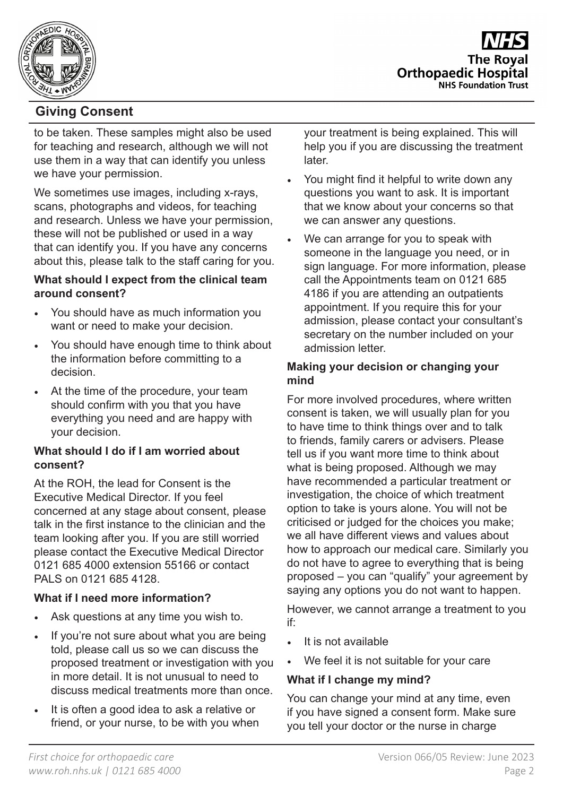

# **Giving Consent**

to be taken. These samples might also be used for teaching and research, although we will not use them in a way that can identify you unless we have your permission.

We sometimes use images, including x-rays, scans, photographs and videos, for teaching and research. Unless we have your permission, these will not be published or used in a way that can identify you. If you have any concerns about this, please talk to the staff caring for you.

## **What should I expect from the clinical team around consent?**

- You should have as much information you want or need to make your decision.
- You should have enough time to think about the information before committing to a decision.
- At the time of the procedure, your team should confirm with you that you have everything you need and are happy with your decision.

#### **What should I do if I am worried about consent?**

At the ROH, the lead for Consent is the Executive Medical Director. If you feel concerned at any stage about consent, please talk in the first instance to the clinician and the team looking after you. If you are still worried please contact the Executive Medical Director 0121 685 4000 extension 55166 or contact PALS on 0121 685 4128.

# **What if I need more information?**

- Ask questions at any time you wish to.
- If you're not sure about what you are being told, please call us so we can discuss the proposed treatment or investigation with you in more detail. It is not unusual to need to discuss medical treatments more than once.
- It is often a good idea to ask a relative or friend, or your nurse, to be with you when

your treatment is being explained. This will help you if you are discussing the treatment later.

- You might find it helpful to write down any questions you want to ask. It is important that we know about your concerns so that we can answer any questions.
- We can arrange for you to speak with someone in the language you need, or in sign language. For more information, please call the Appointments team on 0121 685 4186 if you are attending an outpatients appointment. If you require this for your admission, please contact your consultant's secretary on the number included on your admission letter.

#### **Making your decision or changing your mind**

For more involved procedures, where written consent is taken, we will usually plan for you to have time to think things over and to talk to friends, family carers or advisers. Please tell us if you want more time to think about what is being proposed. Although we may have recommended a particular treatment or investigation, the choice of which treatment option to take is yours alone. You will not be criticised or judged for the choices you make; we all have different views and values about how to approach our medical care. Similarly you do not have to agree to everything that is being proposed – you can "qualify" your agreement by saying any options you do not want to happen.

However, we cannot arrange a treatment to you if:

- It is not available
- We feel it is not suitable for your care

# **What if I change my mind?**

You can change your mind at any time, even if you have signed a consent form. Make sure you tell your doctor or the nurse in charge